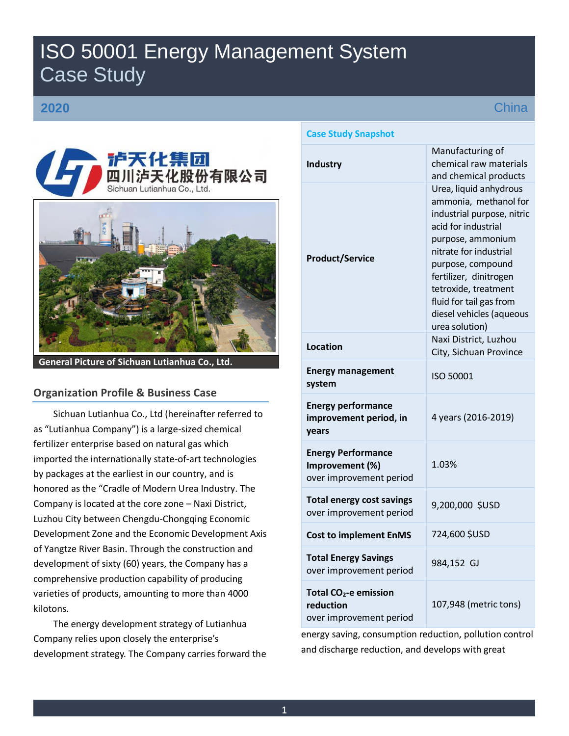# ISO 50001 Energy Management System Case Study

# **2020**



**General Picture of Sichuan Lutianhua Co., Ltd.** 

## **Organization Profile & Business Case**

Sichuan Lutianhua Co., Ltd (hereinafter referred to as "Lutianhua Company") is a large-sized chemical fertilizer enterprise based on natural gas which imported the internationally state-of-art technologies by packages at the earliest in our country, and is honored as the "Cradle of Modern Urea Industry. The Company is located at the core zone – Naxi District, Luzhou City between Chengdu-Chongqing Economic Development Zone and the Economic Development Axis of Yangtze River Basin. Through the construction and development of sixty (60) years, the Company has a comprehensive production capability of producing varieties of products, amounting to more than 4000 kilotons.

The energy development strategy of Lutianhua Company relies upon closely the enterprise's development strategy. The Company carries forward the

# **Case Study Snapshot**

| <b>Industry</b>                                                           | Manufacturing of<br>chemical raw materials<br>and chemical products                                                                                                                                                                                                                                 |  |  |  |  |  |
|---------------------------------------------------------------------------|-----------------------------------------------------------------------------------------------------------------------------------------------------------------------------------------------------------------------------------------------------------------------------------------------------|--|--|--|--|--|
| <b>Product/Service</b>                                                    | Urea, liquid anhydrous<br>ammonia, methanol for<br>industrial purpose, nitric<br>acid for industrial<br>purpose, ammonium<br>nitrate for industrial<br>purpose, compound<br>fertilizer, dinitrogen<br>tetroxide, treatment<br>fluid for tail gas from<br>diesel vehicles (aqueous<br>urea solution) |  |  |  |  |  |
| Location                                                                  | Naxi District, Luzhou<br>City, Sichuan Province                                                                                                                                                                                                                                                     |  |  |  |  |  |
| <b>Energy management</b><br>system                                        | ISO 50001                                                                                                                                                                                                                                                                                           |  |  |  |  |  |
| <b>Energy performance</b><br>improvement period, in<br>vears              | 4 years (2016-2019)                                                                                                                                                                                                                                                                                 |  |  |  |  |  |
| <b>Energy Performance</b><br>Improvement (%)<br>over improvement period   | 1.03%                                                                                                                                                                                                                                                                                               |  |  |  |  |  |
| <b>Total energy cost savings</b><br>over improvement period               | 9,200,000 \$USD                                                                                                                                                                                                                                                                                     |  |  |  |  |  |
| <b>Cost to implement EnMS</b>                                             | 724,600 \$USD                                                                                                                                                                                                                                                                                       |  |  |  |  |  |
| <b>Total Energy Savings</b><br>over improvement period                    | 984,152 GJ                                                                                                                                                                                                                                                                                          |  |  |  |  |  |
| Total CO <sub>2</sub> -e emission<br>reduction<br>over improvement period | 107,948 (metric tons)                                                                                                                                                                                                                                                                               |  |  |  |  |  |

energy saving, consumption reduction, pollution control and discharge reduction, and develops with great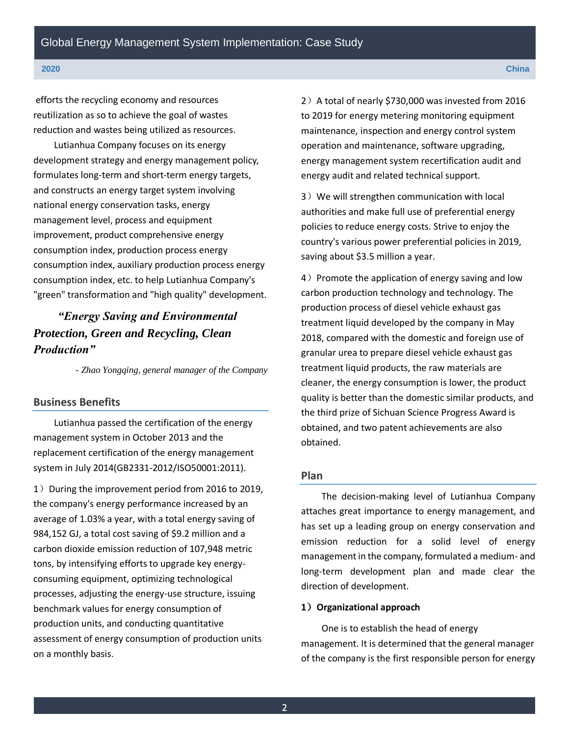efforts the recycling economy and resources reutilization as so to achieve the goal of wastes reduction and wastes being utilized as resources.

Lutianhua Company focuses on its energy development strategy and energy management policy, formulates long-term and short-term energy targets, and constructs an energy target system involving national energy conservation tasks, energy management level, process and equipment improvement, product comprehensive energy consumption index, production process energy consumption index, auxiliary production process energy consumption index, etc. to help Lutianhua Company's "green" transformation and "high quality" development.

# *"Energy Saving and Environmental Protection, Green and Recycling, Clean Production"*

*- Zhao Yongqing, general manager of the Company*

## **Business Benefits**

Lutianhua passed the certification of the energy management system in October 2013 and the replacement certification of the energy management system in July 2014(GB2331-2012/ISO50001:2011).

1) During the improvement period from 2016 to 2019, the company's energy performance increased by an average of 1.03% a year, with a total energy saving of 984,152 GJ, a total cost saving of \$9.2 million and a carbon dioxide emission reduction of 107,948 metric tons, by intensifying efforts to upgrade key energyconsuming equipment, optimizing technological processes, adjusting the energy-use structure, issuing benchmark values for energy consumption of production units, and conducting quantitative assessment of energy consumption of production units on a monthly basis.

2) A total of nearly \$730,000 was invested from 2016 to 2019 for energy metering monitoring equipment maintenance, inspection and energy control system operation and maintenance, software upgrading, energy management system recertification audit and energy audit and related technical support.

3) We will strengthen communication with local authorities and make full use of preferential energy policies to reduce energy costs. Strive to enjoy the country's various power preferential policies in 2019, saving about \$3.5 million a year.

 $4)$  Promote the application of energy saving and low carbon production technology and technology. The production process of diesel vehicle exhaust gas treatment liquid developed by the company in May 2018, compared with the domestic and foreign use of granular urea to prepare diesel vehicle exhaust gas treatment liquid products, the raw materials are cleaner, the energy consumption is lower, the product quality is better than the domestic similar products, and the third prize of Sichuan Science Progress Award is obtained, and two patent achievements are also obtained.

## **Plan**

The decision-making level of Lutianhua Company attaches great importance to energy management, and has set up a leading group on energy conservation and emission reduction for a solid level of energy management in the company, formulated a medium- and long-term development plan and made clear the direction of development.

### **1**)**Organizational approach**

One is to establish the head of energy management. It is determined that the general manager of the company is the first responsible person for energy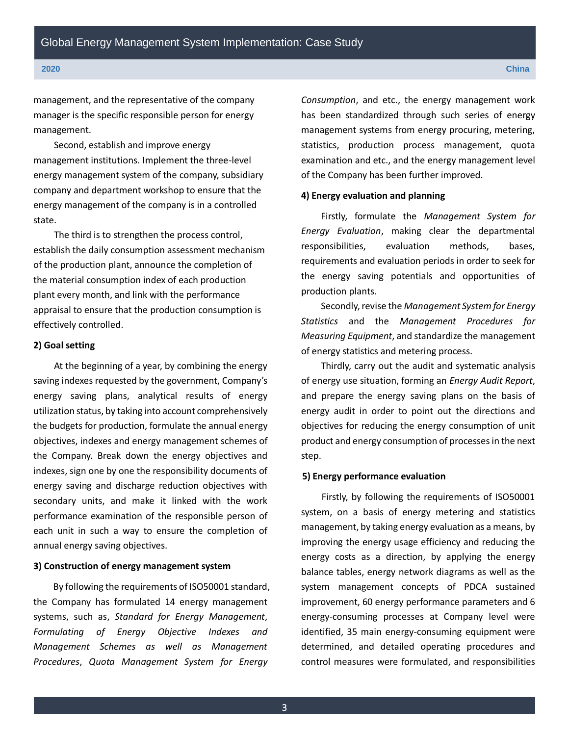management, and the representative of the company manager is the specific responsible person for energy management.

Second, establish and improve energy management institutions. Implement the three-level energy management system of the company, subsidiary company and department workshop to ensure that the energy management of the company is in a controlled state.

The third is to strengthen the process control, establish the daily consumption assessment mechanism of the production plant, announce the completion of the material consumption index of each production plant every month, and link with the performance appraisal to ensure that the production consumption is effectively controlled.

#### **2) Goal setting**

At the beginning of a year, by combining the energy saving indexes requested by the government, Company's energy saving plans, analytical results of energy utilization status, by taking into account comprehensively the budgets for production, formulate the annual energy objectives, indexes and energy management schemes of the Company. Break down the energy objectives and indexes, sign one by one the responsibility documents of energy saving and discharge reduction objectives with secondary units, and make it linked with the work performance examination of the responsible person of each unit in such a way to ensure the completion of annual energy saving objectives.

#### **3) Construction of energy management system**

By following the requirements of ISO50001 standard, the Company has formulated 14 energy management systems, such as, *Standard for Energy Management*, *Formulating of Energy Objective Indexes and Management Schemes as well as Management Procedures*, *Quota Management System for Energy* 

*Consumption*, and etc., the energy management work has been standardized through such series of energy management systems from energy procuring, metering, statistics, production process management, quota examination and etc., and the energy management level of the Company has been further improved.

#### **4) Energy evaluation and planning**

Firstly, formulate the *Management System for Energy Evaluation*, making clear the departmental responsibilities, evaluation methods, bases, requirements and evaluation periods in order to seek for the energy saving potentials and opportunities of production plants.

Secondly, revise the *Management System for Energy Statistics* and the *Management Procedures for Measuring Equipment*, and standardize the management of energy statistics and metering process.

Thirdly, carry out the audit and systematic analysis of energy use situation, forming an *Energy Audit Report*, and prepare the energy saving plans on the basis of energy audit in order to point out the directions and objectives for reducing the energy consumption of unit product and energy consumption of processes in the next step.

#### **5) Energy performance evaluation**

Firstly, by following the requirements of ISO50001 system, on a basis of energy metering and statistics management, by taking energy evaluation as a means, by improving the energy usage efficiency and reducing the energy costs as a direction, by applying the energy balance tables, energy network diagrams as well as the system management concepts of PDCA sustained improvement, 60 energy performance parameters and 6 energy-consuming processes at Company level were identified, 35 main energy-consuming equipment were determined, and detailed operating procedures and control measures were formulated, and responsibilities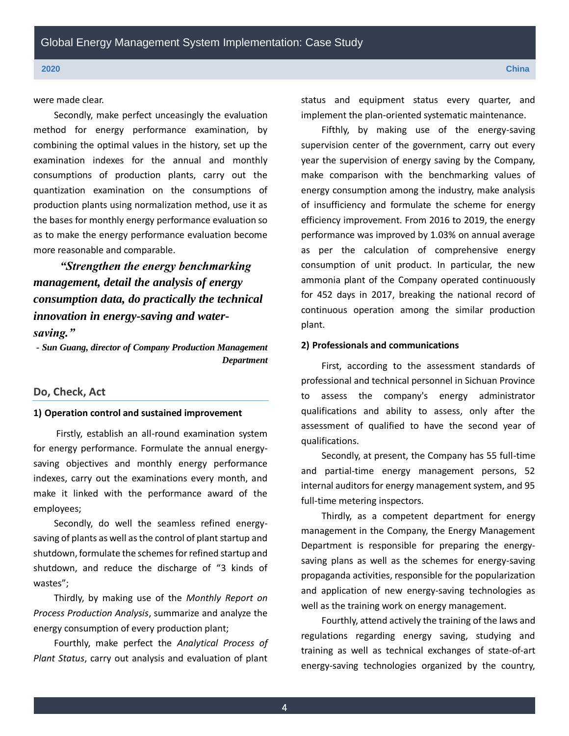were made clear.

Secondly, make perfect unceasingly the evaluation method for energy performance examination, by combining the optimal values in the history, set up the examination indexes for the annual and monthly consumptions of production plants, carry out the quantization examination on the consumptions of production plants using normalization method, use it as the bases for monthly energy performance evaluation so as to make the energy performance evaluation become more reasonable and comparable.

*"Strengthen the energy benchmarking management, detail the analysis of energy consumption data, do practically the technical innovation in energy-saving and watersaving."*

*- Sun Guang, director of Company Production Management Department*

#### **Do, Check, Act**

### **1) Operation control and sustained improvement**

Firstly, establish an all-round examination system for energy performance. Formulate the annual energysaving objectives and monthly energy performance indexes, carry out the examinations every month, and make it linked with the performance award of the employees;

Secondly, do well the seamless refined energysaving of plants as well as the control of plant startup and shutdown, formulate the schemes for refined startup and shutdown, and reduce the discharge of "3 kinds of wastes";

Thirdly, by making use of the *Monthly Report on Process Production Analysis*, summarize and analyze the energy consumption of every production plant;

Fourthly, make perfect the *Analytical Process of Plant Status*, carry out analysis and evaluation of plant

status and equipment status every quarter, and implement the plan-oriented systematic maintenance.

Fifthly, by making use of the energy-saving supervision center of the government, carry out every year the supervision of energy saving by the Company, make comparison with the benchmarking values of energy consumption among the industry, make analysis of insufficiency and formulate the scheme for energy efficiency improvement. From 2016 to 2019, the energy performance was improved by 1.03% on annual average as per the calculation of comprehensive energy consumption of unit product. In particular, the new ammonia plant of the Company operated continuously for 452 days in 2017, breaking the national record of continuous operation among the similar production plant.

#### **2) Professionals and communications**

First, according to the assessment standards of professional and technical personnel in Sichuan Province to assess the company's energy administrator qualifications and ability to assess, only after the assessment of qualified to have the second year of qualifications.

Secondly, at present, the Company has 55 full-time and partial-time energy management persons, 52 internal auditors for energy management system, and 95 full-time metering inspectors.

Thirdly, as a competent department for energy management in the Company, the Energy Management Department is responsible for preparing the energysaving plans as well as the schemes for energy-saving propaganda activities, responsible for the popularization and application of new energy-saving technologies as well as the training work on energy management.

Fourthly, attend actively the training of the laws and regulations regarding energy saving, studying and training as well as technical exchanges of state-of-art energy-saving technologies organized by the country,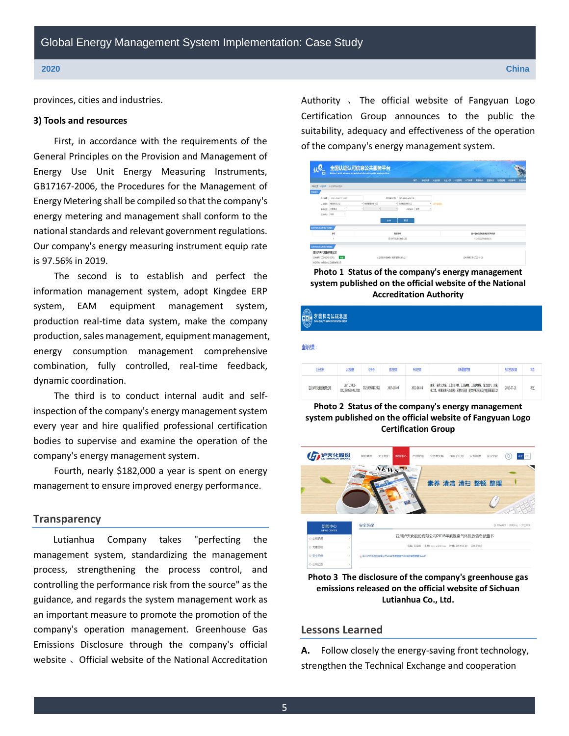provinces, cities and industries.

#### **3) Tools and resources**

First, in accordance with the requirements of the General Principles on the Provision and Management of Energy Use Unit Energy Measuring Instruments, GB17167-2006, the Procedures for the Management of Energy Metering shall be compiled so that the company's energy metering and management shall conform to the national standards and relevant government regulations. Our company's energy measuring instrument equip rate is 97.56% in 2019.

The second is to establish and perfect the information management system, adopt Kingdee ERP system, EAM equipment management system, production real-time data system, make the company production, sales management, equipment management, energy consumption management comprehensive combination, fully controlled, real-time feedback, dynamic coordination.

The third is to conduct internal audit and selfinspection of the company's energy management system every year and hire qualified professional certification bodies to supervise and examine the operation of the company's energy management system.

Fourth, nearly \$182,000 a year is spent on energy management to ensure improved energy performance.

#### **Transparency**

Lutianhua Company takes "perfecting the management system, standardizing the management process, strengthening the process control, and controlling the performance risk from the source" as the guidance, and regards the system management work as an important measure to promote the promotion of the company's operation management. Greenhouse Gas Emissions Disclosure through the company's official website 、Official website of the National Accreditation Authority 、 The official website of Fangyuan Logo Certification Group announces to the public the suitability, adequacy and effectiveness of the operation of the company's energy management system.

| $\overline{E}$        |            | 全国认证认可信息公共服务平台<br>National certification and accreditation information public service platform |     |            |    |                    |            |         |    |      |                    |      |      |      |                             |      |      |      |      |
|-----------------------|------------|------------------------------------------------------------------------------------------------|-----|------------|----|--------------------|------------|---------|----|------|--------------------|------|------|------|-----------------------------|------|------|------|------|
|                       |            |                                                                                                |     |            |    |                    |            |         | 第页 | 认证所言 | 从会机构               | 从业人类 | 认证期间 | 认可结果 | 教堂的                         | 言智共法 | 检验检测 | 和技術者 | TOST |
| 当期控告:认证也是 以证法其证合仲实    |            |                                                                                                |     |            |    |                    |            |         |    |      |                    |      |      |      |                             |      |      |      |      |
| 再提案件                  |            |                                                                                                |     |            |    |                    |            |         |    |      |                    |      |      |      |                             |      |      |      |      |
| Esas.                 | 清祖入宮衛児区长崎県 |                                                                                                |     |            |    | 供证细印本称: PRH2和世和理公司 |            |         |    |      |                    |      |      |      |                             |      |      |      |      |
| 认证题目                  | 管理体系以证     |                                                                                                |     | - 初度管理体系以正 |    |                    | · 昭用管理体系以足 |         |    |      | · januaris         |      |      |      |                             |      |      |      |      |
| <b>NEWS</b>           | 中国集内       | $\scriptstyle\rm w$                                                                            | - 1 |            | ×1 |                    |            | unen en |    |      |                    |      |      |      |                             |      |      |      |      |
| 亚本状态                  | 有限         | $\sim$                                                                                         |     |            |    |                    |            |         |    |      |                    |      |      |      |                             |      |      |      |      |
|                       |            |                                                                                                |     |            |    | 豊富                 | 重算         |         |    |      |                    |      |      |      |                             |      |      |      |      |
| 相応対応(の太春事定形活動)        |            |                                                                                                |     |            |    |                    |            |         |    |      |                    |      |      |      |                             |      |      |      |      |
|                       | 房号         |                                                                                                |     |            |    |                    | 400, 2.30  |         |    |      |                    |      |      |      | m-theatersteepatares        |      |      |      |      |
| 四川の天文製作を開くこ<br>٠      |            |                                                                                                |     |            |    |                    |            |         |    |      | 91510500711880825C |      |      |      |                             |      |      |      |      |
| 証书内向の共作取締役実施          |            |                                                                                                |     |            |    |                    |            |         |    |      |                    |      |      |      |                             |      |      |      |      |
| 四川泸天化股份有限公司           |            |                                                                                                |     |            |    |                    |            |         |    |      |                    |      |      |      |                             |      |      |      |      |
| 17 を画号 00215EN2172R2L | <b>AIX</b> |                                                                                                |     |            |    | 认证项目产品单数:和津管理体系认证  |            |         |    |      |                    |      |      |      | <b>(F+SWBBW 2022-10-08)</b> |      |      |      |      |
| 发证机构 方面标志认证编图有限公司     |            |                                                                                                |     |            |    |                    |            |         |    |      |                    |      |      |      |                             |      |      |      |      |

**Photo 1 Status of the company's energy management system published on the official website of the National Accreditation Authority**

| 方圆标志认证集团<br>CHINA QUALITY MARK CERTIFICATION GROUP<br>G |                                   |                |            |            |                                                                        |            |   |  |  |  |  |
|---------------------------------------------------------|-----------------------------------|----------------|------------|------------|------------------------------------------------------------------------|------------|---|--|--|--|--|
| 查询结果:                                                   |                                   |                |            |            |                                                                        |            |   |  |  |  |  |
| 全业名称                                                    | 认证依据                              | 研報             | 衛田期        | 有效日期       | 体系覆盖范围                                                                 | 首次发证时间     | 猛 |  |  |  |  |
| 四川泸天化股份有限公司                                             | GB/T 23331-<br>2012/ISO50001:2011 | 00219EN0172R2L | 2019-10-09 | 2022-10-08 | 尿素、液体无水氢、工业用甲醚、工业硝酸、工业硝酸铁、复制肥料、四氯<br>化二氢、柴油车尾气处理液(尿素水溶液)的生产和所涉及的能源管理活动 | 2016-07-21 | 苞 |  |  |  |  |

**Photo 2 Status of the company's energy management system published on the official website of Fangyuan Logo Certification Group**



**Photo 3 The disclosure of the company's greenhouse gas emissions released on the official website of Sichuan Lutianhua Co., Ltd.** 

### **Lessons Learned**

**A.** Follow closely the energy-saving front technology, strengthen the Technical Exchange and cooperation